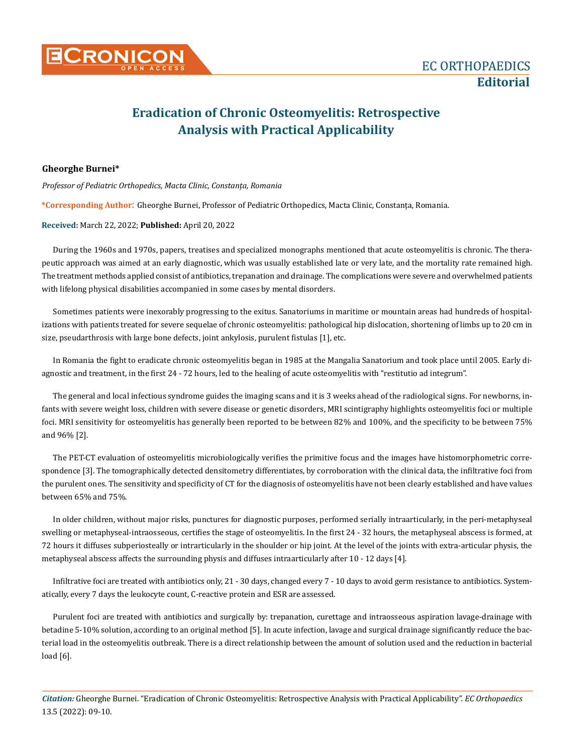## **Eradication of Chronic Osteomyelitis: Retrospective Analysis with Practical Applicability**

## **Gheorghe Burnei\***

*Professor of Pediatric Orthopedics, Macta Clinic, Constanța, Romania*

**\*Corresponding Author**: Gheorghe Burnei, Professor of Pediatric Orthopedics, Macta Clinic, Constanța, Romania.

## **Received:** March 22, 2022; **Published:** April 20, 2022

During the 1960s and 1970s, papers, treatises and specialized monographs mentioned that acute osteomyelitis is chronic. The therapeutic approach was aimed at an early diagnostic, which was usually established late or very late, and the mortality rate remained high. The treatment methods applied consist of antibiotics, trepanation and drainage. The complications were severe and overwhelmed patients with lifelong physical disabilities accompanied in some cases by mental disorders.

Sometimes patients were inexorably progressing to the exitus. Sanatoriums in maritime or mountain areas had hundreds of hospitalizations with patients treated for severe sequelae of chronic osteomyelitis: pathological hip dislocation, shortening of limbs up to 20 cm in size, pseudarthrosis with large bone defects, joint ankylosis, purulent fistulas [1], etc.

In Romania the fight to eradicate chronic osteomyelitis began in 1985 at the Mangalia Sanatorium and took place until 2005. Early diagnostic and treatment, in the first 24 - 72 hours, led to the healing of acute osteomyelitis with "restitutio ad integrum".

The general and local infectious syndrome guides the imaging scans and it is 3 weeks ahead of the radiological signs. For newborns, infants with severe weight loss, children with severe disease or genetic disorders, MRI scintigraphy highlights osteomyelitis foci or multiple foci. MRI sensitivity for osteomyelitis has generally been reported to be between 82% and 100%, and the specificity to be between 75% and 96% [2].

The PET-CT evaluation of osteomyelitis microbiologically verifies the primitive focus and the images have histomorphometric correspondence [3]. The tomographically detected densitometry differentiates, by corroboration with the clinical data, the infiltrative foci from the purulent ones. The sensitivity and specificity of CT for the diagnosis of osteomyelitis have not been clearly established and have values between 65% and 75%.

In older children, without major risks, punctures for diagnostic purposes, performed serially intraarticularly, in the peri-metaphyseal swelling or metaphyseal-intraosseous, certifies the stage of osteomyelitis. In the first 24 - 32 hours, the metaphyseal abscess is formed, at 72 hours it diffuses subperiosteally or intrarticularly in the shoulder or hip joint. At the level of the joints with extra-articular physis, the metaphyseal abscess affects the surrounding physis and diffuses intraarticularly after 10 - 12 days [4].

Infiltrative foci are treated with antibiotics only, 21 - 30 days, changed every 7 - 10 days to avoid germ resistance to antibiotics. Systematically, every 7 days the leukocyte count, C-reactive protein and ESR are assessed.

Purulent foci are treated with antibiotics and surgically by: trepanation, curettage and intraosseous aspiration lavage-drainage with betadine 5-10% solution, according to an original method [5]. In acute infection, lavage and surgical drainage significantly reduce the bacterial load in the osteomyelitis outbreak. There is a direct relationship between the amount of solution used and the reduction in bacterial load [6].

*Citation:* Gheorghe Burnei. "Eradication of Chronic Osteomyelitis: Retrospective Analysis with Practical Applicability". *EC Orthopaedics*  13.5 (2022): 09-10.